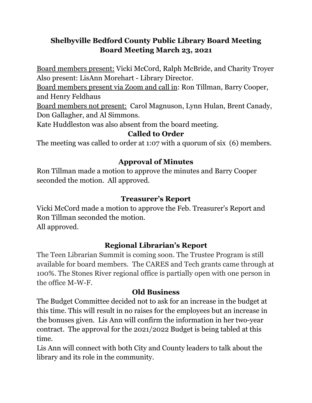# **Shelbyville Bedford County Public Library Board Meeting Board Meeting March 23, 2021**

Board members present: Vicki McCord, Ralph McBride, and Charity Troyer Also present: LisAnn Morehart - Library Director.

Board members present via Zoom and call in: Ron Tillman, Barry Cooper, and Henry Feldhaus

Board members not present: Carol Magnuson, Lynn Hulan, Brent Canady, Don Gallagher, and Al Simmons.

Kate Huddleston was also absent from the board meeting.

## **Called to Order**

The meeting was called to order at 1:07 with a quorum of six (6) members.

## **Approval of Minutes**

Ron Tillman made a motion to approve the minutes and Barry Cooper seconded the motion. All approved.

## **Treasurer's Report**

Vicki McCord made a motion to approve the Feb. Treasurer's Report and Ron Tillman seconded the motion. All approved.

# **Regional Librarian's Report**

The Teen Librarian Summit is coming soon. The Trustee Program is still available for board members. The CARES and Tech grants came through at 100%. The Stones River regional office is partially open with one person in the office M-W-F.

### **Old Business**

The Budget Committee decided not to ask for an increase in the budget at this time. This will result in no raises for the employees but an increase in the bonuses given. Lis Ann will confirm the information in her two-year contract. The approval for the 2021/2022 Budget is being tabled at this time.

Lis Ann will connect with both City and County leaders to talk about the library and its role in the community.